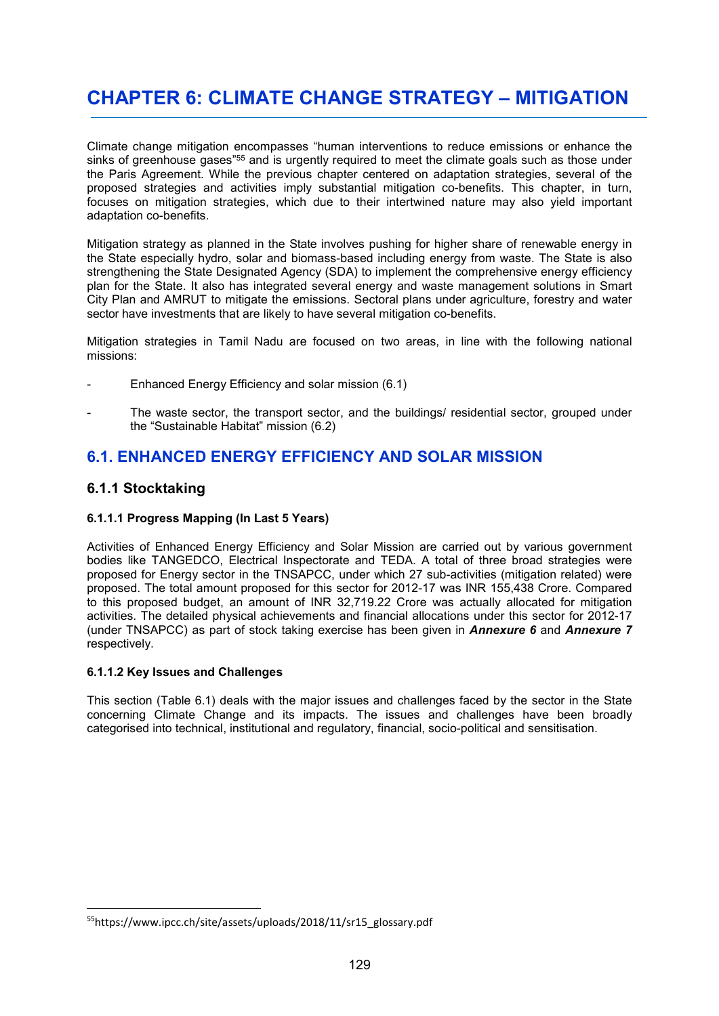# **CHAPTER 6: CLIMATE CHANGE STRATEGY – MITIGATION**

Climate change mitigation encompasses "human interventions to reduce emissions or enhance the sinks of greenhouse gases"<sup>55</sup> and is urgently required to meet the climate goals such as those under the Paris Agreement. While the previous chapter centered on adaptation strategies, several of the proposed strategies and activities imply substantial mitigation co-benefits. This chapter, in turn, focuses on mitigation strategies, which due to their intertwined nature may also yield important adaptation co-benefits.

Mitigation strategy as planned in the State involves pushing for higher share of renewable energy in the State especially hydro, solar and biomass-based including energy from waste. The State is also strengthening the State Designated Agency (SDA) to implement the comprehensive energy efficiency plan for the State. It also has integrated several energy and waste management solutions in Smart City Plan and AMRUT to mitigate the emissions. Sectoral plans under agriculture, forestry and water sector have investments that are likely to have several mitigation co-benefits.

Mitigation strategies in Tamil Nadu are focused on two areas, in line with the following national missions:

- Enhanced Energy Efficiency and solar mission (6.1)
- The waste sector, the transport sector, and the buildings/ residential sector, grouped under the "Sustainable Habitat" mission (6.2)

## **6.1. ENHANCED ENERGY EFFICIENCY AND SOLAR MISSION**

## **6.1.1 Stocktaking**

-

#### **6.1.1.1 Progress Mapping (In Last 5 Years)**

Activities of Enhanced Energy Efficiency and Solar Mission are carried out by various government bodies like TANGEDCO, Electrical Inspectorate and TEDA. A total of three broad strategies were proposed for Energy sector in the TNSAPCC, under which 27 sub-activities (mitigation related) were proposed. The total amount proposed for this sector for 2012-17 was INR 155,438 Crore. Compared to this proposed budget, an amount of INR 32,719.22 Crore was actually allocated for mitigation activities. The detailed physical achievements and financial allocations under this sector for 2012-17 (under TNSAPCC) as part of stock taking exercise has been given in *Annexure 6* and *Annexure 7*  respectively.

#### **6.1.1.2 Key Issues and Challenges**

This section (Table 6.1) deals with the major issues and challenges faced by the sector in the State concerning Climate Change and its impacts. The issues and challenges have been broadly categorised into technical, institutional and regulatory, financial, socio-political and sensitisation.

<sup>55</sup>https://www.ipcc.ch/site/assets/uploads/2018/11/sr15\_glossary.pdf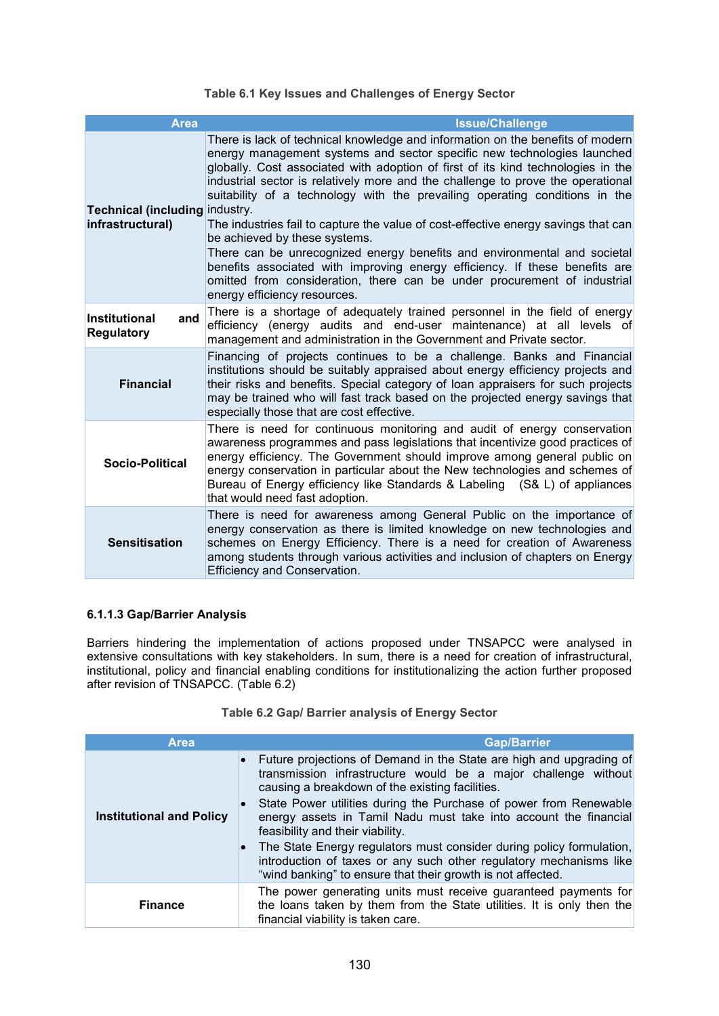#### **Table 6.1 Key Issues and Challenges of Energy Sector**

| <b>Area</b>                                        | <b>Issue/Challenge</b>                                                                                                                                                                                                                                                                                                                                                                                                                                                                                                                                                                                                                                                                                                                                                                                        |
|----------------------------------------------------|---------------------------------------------------------------------------------------------------------------------------------------------------------------------------------------------------------------------------------------------------------------------------------------------------------------------------------------------------------------------------------------------------------------------------------------------------------------------------------------------------------------------------------------------------------------------------------------------------------------------------------------------------------------------------------------------------------------------------------------------------------------------------------------------------------------|
| Technical (including industry.<br>infrastructural) | There is lack of technical knowledge and information on the benefits of modern<br>energy management systems and sector specific new technologies launched<br>globally. Cost associated with adoption of first of its kind technologies in the<br>industrial sector is relatively more and the challenge to prove the operational<br>suitability of a technology with the prevailing operating conditions in the<br>The industries fail to capture the value of cost-effective energy savings that can<br>be achieved by these systems.<br>There can be unrecognized energy benefits and environmental and societal<br>benefits associated with improving energy efficiency. If these benefits are<br>omitted from consideration, there can be under procurement of industrial<br>energy efficiency resources. |
| <b>Institutional</b><br>and<br><b>Regulatory</b>   | There is a shortage of adequately trained personnel in the field of energy<br>efficiency (energy audits and end-user maintenance) at all levels of<br>management and administration in the Government and Private sector.                                                                                                                                                                                                                                                                                                                                                                                                                                                                                                                                                                                     |
| <b>Financial</b>                                   | Financing of projects continues to be a challenge. Banks and Financial<br>institutions should be suitably appraised about energy efficiency projects and<br>their risks and benefits. Special category of loan appraisers for such projects<br>may be trained who will fast track based on the projected energy savings that<br>especially those that are cost effective.                                                                                                                                                                                                                                                                                                                                                                                                                                     |
| Socio-Political                                    | There is need for continuous monitoring and audit of energy conservation<br>awareness programmes and pass legislations that incentivize good practices of<br>energy efficiency. The Government should improve among general public on<br>energy conservation in particular about the New technologies and schemes of<br>Bureau of Energy efficiency like Standards & Labeling (S& L) of appliances<br>that would need fast adoption.                                                                                                                                                                                                                                                                                                                                                                          |
| <b>Sensitisation</b>                               | There is need for awareness among General Public on the importance of<br>energy conservation as there is limited knowledge on new technologies and<br>schemes on Energy Efficiency. There is a need for creation of Awareness<br>among students through various activities and inclusion of chapters on Energy<br><b>Efficiency and Conservation.</b>                                                                                                                                                                                                                                                                                                                                                                                                                                                         |

### **6.1.1.3 Gap/Barrier Analysis**

Barriers hindering the implementation of actions proposed under TNSAPCC were analysed in extensive consultations with key stakeholders. In sum, there is a need for creation of infrastructural, institutional, policy and financial enabling conditions for institutionalizing the action further proposed after revision of TNSAPCC. (Table 6.2)

#### **Table 6.2 Gap/ Barrier analysis of Energy Sector**

| <b>Area</b>                     | <b>Gap/Barrier</b>                                                                                                                                                                                                                                                                                                                                                                                                                                                                                                                                                                       |
|---------------------------------|------------------------------------------------------------------------------------------------------------------------------------------------------------------------------------------------------------------------------------------------------------------------------------------------------------------------------------------------------------------------------------------------------------------------------------------------------------------------------------------------------------------------------------------------------------------------------------------|
| <b>Institutional and Policy</b> | • Future projections of Demand in the State are high and upgrading of<br>transmission infrastructure would be a major challenge without<br>causing a breakdown of the existing facilities.<br>• State Power utilities during the Purchase of power from Renewable<br>energy assets in Tamil Nadu must take into account the financial<br>feasibility and their viability.<br>• The State Energy regulators must consider during policy formulation,<br>introduction of taxes or any such other regulatory mechanisms like<br>"wind banking" to ensure that their growth is not affected. |
| <b>Finance</b>                  | The power generating units must receive guaranteed payments for<br>the loans taken by them from the State utilities. It is only then the<br>financial viability is taken care.                                                                                                                                                                                                                                                                                                                                                                                                           |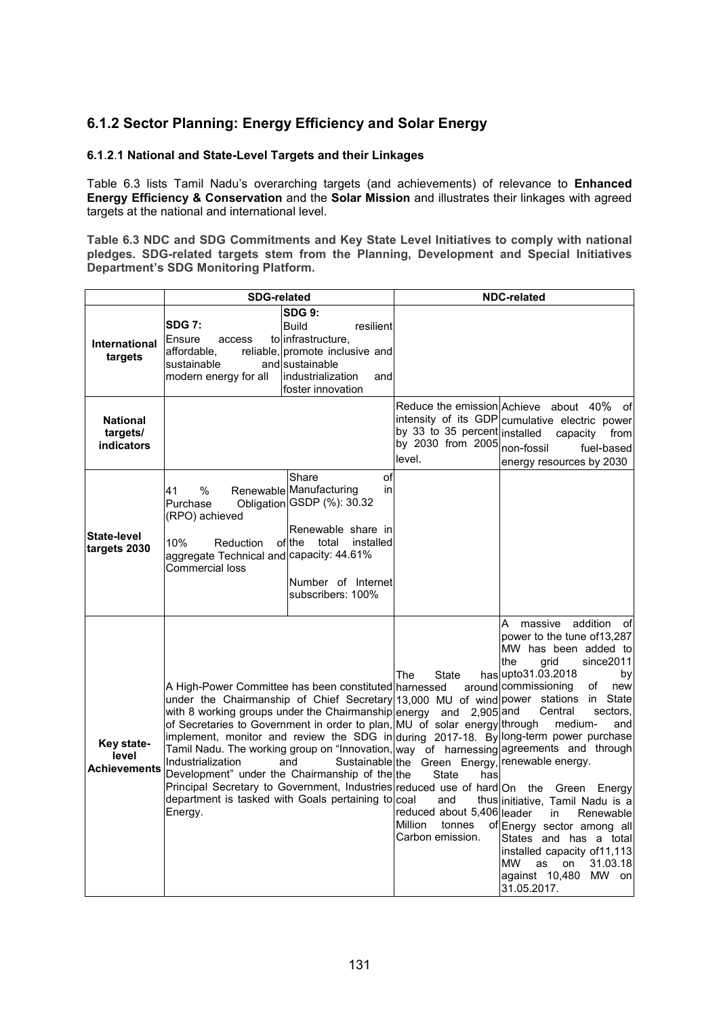## **6.1.2 Sector Planning: Energy Efficiency and Solar Energy**

#### **6.1**.**2**.**1 National and State-Level Targets and their Linkages**

Table 6.3 lists Tamil Nadu's overarching targets (and achievements) of relevance to **Enhanced Energy Efficiency & Conservation** and the **Solar Mission** and illustrates their linkages with agreed targets at the national and international level.

**Table 6.3 NDC and SDG Commitments and Key State Level Initiatives to comply with national pledges. SDG-related targets stem from the Planning, Development and Special Initiatives Department's SDG Monitoring Platform.**

|                                                  | <b>SDG-related</b>                                                                                                                                                                                                                                                                                                                                                                                                          |                                                                                                                                                                           | <b>NDC-related</b>                                                                                                                                            |                                                                                                                                                                                                                                                                                                                                                                                                                                                                                                                                                                                                                                                                                                                                             |  |
|--------------------------------------------------|-----------------------------------------------------------------------------------------------------------------------------------------------------------------------------------------------------------------------------------------------------------------------------------------------------------------------------------------------------------------------------------------------------------------------------|---------------------------------------------------------------------------------------------------------------------------------------------------------------------------|---------------------------------------------------------------------------------------------------------------------------------------------------------------|---------------------------------------------------------------------------------------------------------------------------------------------------------------------------------------------------------------------------------------------------------------------------------------------------------------------------------------------------------------------------------------------------------------------------------------------------------------------------------------------------------------------------------------------------------------------------------------------------------------------------------------------------------------------------------------------------------------------------------------------|--|
| International<br>targets                         | <b>SDG 7:</b><br>Ensure<br>access<br>affordable.<br>sustainable<br>modern energy for all                                                                                                                                                                                                                                                                                                                                    | <b>SDG 9:</b><br><b>Build</b><br>resilient<br>to infrastructure,<br>reliable, promote inclusive and<br>and sustainable<br>lindustrialization<br>and<br>foster innovation  |                                                                                                                                                               |                                                                                                                                                                                                                                                                                                                                                                                                                                                                                                                                                                                                                                                                                                                                             |  |
| <b>National</b><br>targets/<br><b>indicators</b> |                                                                                                                                                                                                                                                                                                                                                                                                                             |                                                                                                                                                                           | by 33 to 35 percent installed<br>by 2030 from 2005<br>level.                                                                                                  | Reduce the emission Achieve about 40%<br>of<br>intensity of its GDP cumulative electric power<br>capacity from<br>non-fossil<br>fuel-based<br>energy resources by 2030                                                                                                                                                                                                                                                                                                                                                                                                                                                                                                                                                                      |  |
| <b>State-level</b><br>targets 2030               | 41<br>$\%$<br>Purchase<br>(RPO) achieved<br>10%<br>Reduction<br>aggregate Technical and capacity: 44.61%<br>Commercial loss                                                                                                                                                                                                                                                                                                 | Share<br>οf<br>Renewable Manufacturing<br>in.<br>Obligation GSDP (%): 30.32<br>Renewable share in<br>of the total<br>installed<br>Number of Internet<br>subscribers: 100% |                                                                                                                                                               |                                                                                                                                                                                                                                                                                                                                                                                                                                                                                                                                                                                                                                                                                                                                             |  |
| Key state-<br>level<br><b>Achievements</b>       | A High-Power Committee has been constituted harnessed<br>with 8 working groups under the Chairmanship energy and 2,905 and<br>of Secretaries to Government in order to plan, MU of solar energy through<br>Industrialization<br>Development" under the Chairmanship of the the<br>Principal Secretary to Government, Industries reduced use of hard On the<br>department is tasked with Goals pertaining to coal<br>Energy. | and                                                                                                                                                                       | The<br>State<br>Sustainable the Green Energy, renewable energy.<br>State<br>has<br>and<br>reduced about 5,406 leader<br>Million<br>tonnes<br>Carbon emission. | massive addition<br>A<br>of<br>power to the tune of 13,287<br>MW has been added to<br>the<br>grid<br>since 2011<br>has upto 31.03.2018<br>by<br>around commissioning<br>оf<br>new<br>under the Chairmanship of Chief Secretary 13,000 MU of wind power stations in State<br>Central<br>sectors.<br>medium-<br>and<br>implement, monitor and review the SDG in during 2017-18. By long-term power purchase<br>Tamil Nadu. The working group on "Innovation, way of harnessing agreements and through<br>Green Energy<br>thus initiative, Tamil Nadu is a<br>Renewable<br>in<br>of Energy sector among all<br>States and has a total<br>installed capacity of 11, 113<br>MW<br>31.03.18<br>as<br>on<br>against 10,480<br>MW on<br>31.05.2017. |  |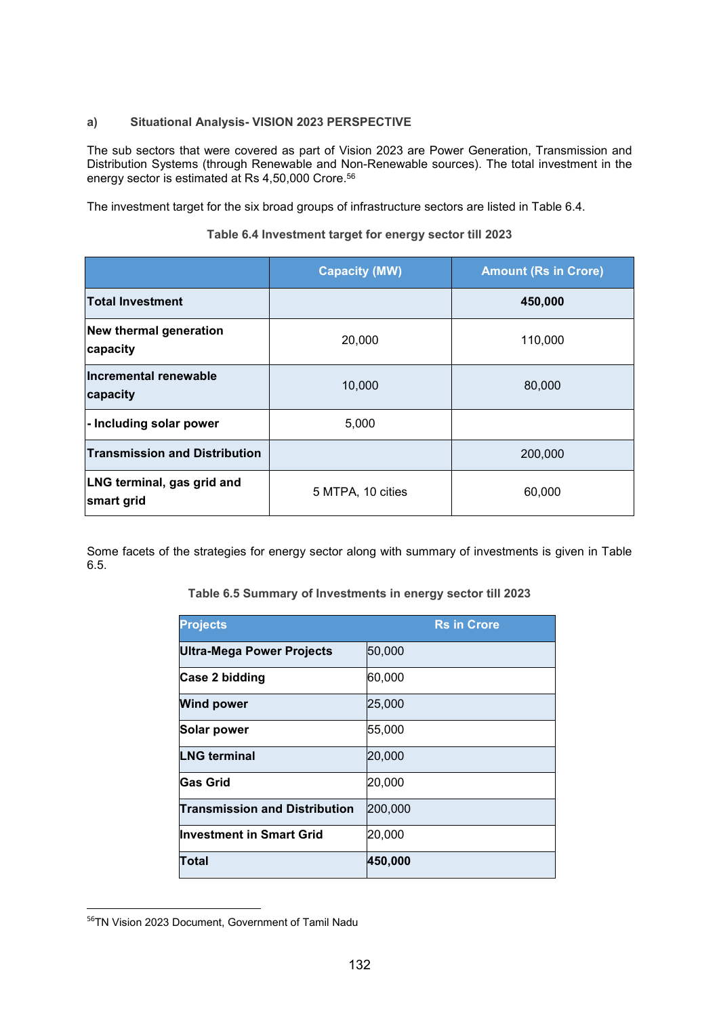#### **a) Situational Analysis- VISION 2023 PERSPECTIVE**

The sub sectors that were covered as part of Vision 2023 are Power Generation, Transmission and Distribution Systems (through Renewable and Non-Renewable sources). The total investment in the energy sector is estimated at Rs 4,50,000 Crore.56

The investment target for the six broad groups of infrastructure sectors are listed in Table 6.4.

|                                           | <b>Capacity (MW)</b> | <b>Amount (Rs in Crore)</b> |
|-------------------------------------------|----------------------|-----------------------------|
| <b>Total Investment</b>                   |                      | 450,000                     |
| <b>New thermal generation</b><br>capacity | 20,000               | 110,000                     |
| Incremental renewable<br>capacity         | 10,000               | 80,000                      |
| - Including solar power                   | 5,000                |                             |
| <b>Transmission and Distribution</b>      |                      | 200,000                     |
| LNG terminal, gas grid and<br>smart grid  | 5 MTPA, 10 cities    | 60,000                      |

#### **Table 6.4 Investment target for energy sector till 2023**

Some facets of the strategies for energy sector along with summary of investments is given in Table 6.5.

#### **Table 6.5 Summary of Investments in energy sector till 2023**

| <b>Projects</b>                      | <b>Rs in Crore</b> |
|--------------------------------------|--------------------|
| <b>Ultra-Mega Power Projects</b>     | 50,000             |
| Case 2 bidding                       | 60,000             |
| <b>Wind power</b>                    | 25,000             |
| Solar power                          | 55,000             |
| <b>LNG terminal</b>                  | 20,000             |
| <b>Gas Grid</b>                      | 20,000             |
| <b>Transmission and Distribution</b> | 200,000            |
| <b>Investment in Smart Grid</b>      | 20,000             |
| Total                                | 450,000            |

<sup>56</sup>TN Vision 2023 Document, Government of Tamil Nadu

-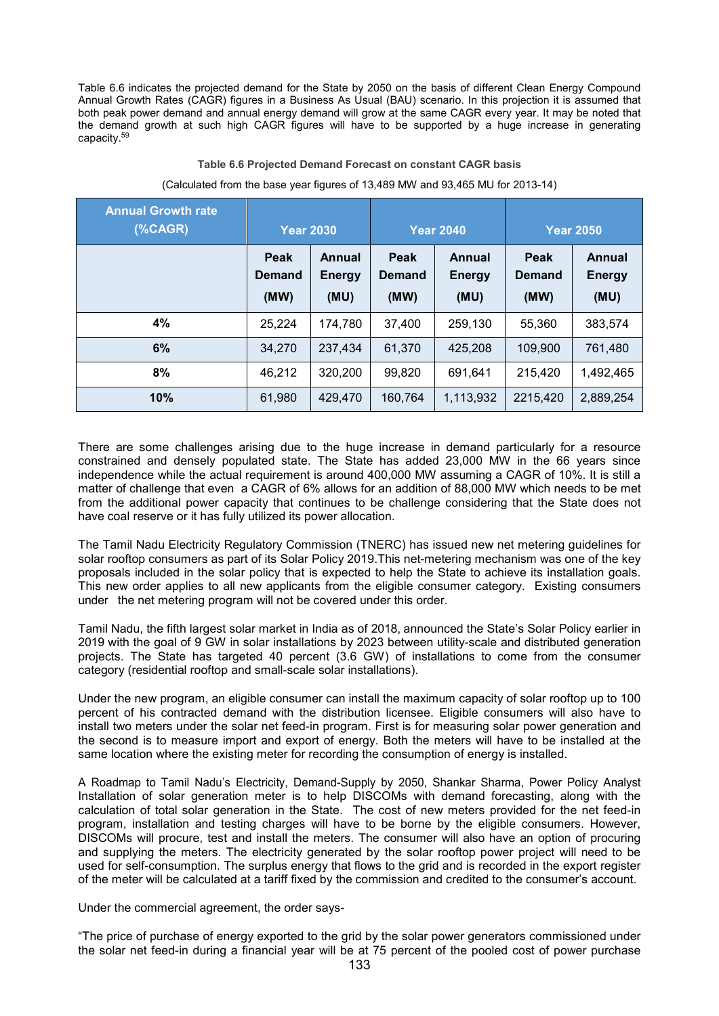Table 6.6 indicates the projected demand for the State by 2050 on the basis of different Clean Energy Compound Annual Growth Rates (CAGR) figures in a Business As Usual (BAU) scenario. In this projection it is assumed that both peak power demand and annual energy demand will grow at the same CAGR every year. It may be noted that the demand growth at such high CAGR figures will have to be supported by a huge increase in generating capacity.59

#### **Table 6.6 Projected Demand Forecast on constant CAGR basis**

| <b>Annual Growth rate</b><br>% <b>CAGR</b> | <b>Year 2030</b>              |                                 | <b>Year 2040</b>              |                                 | <b>Year 2050</b>              |                                        |
|--------------------------------------------|-------------------------------|---------------------------------|-------------------------------|---------------------------------|-------------------------------|----------------------------------------|
|                                            | Peak<br><b>Demand</b><br>(MW) | Annual<br><b>Energy</b><br>(MU) | Peak<br><b>Demand</b><br>(MW) | Annual<br><b>Energy</b><br>(MU) | Peak<br><b>Demand</b><br>(MW) | <b>Annual</b><br><b>Energy</b><br>(MU) |
| 4%                                         | 25,224                        | 174,780                         | 37.400                        | 259.130                         | 55.360                        | 383,574                                |
| 6%                                         | 34,270                        | 237,434                         | 61,370                        | 425,208                         | 109,900                       | 761,480                                |
| 8%                                         | 46,212                        | 320,200                         | 99,820                        | 691.641                         | 215,420                       | 1,492,465                              |
| 10%                                        | 61,980                        | 429,470                         | 160.764                       | 1,113,932                       | 2215,420                      | 2,889,254                              |

#### (Calculated from the base year figures of 13,489 MW and 93,465 MU for 2013-14)

There are some challenges arising due to the huge increase in demand particularly for a resource constrained and densely populated state. The State has added 23,000 MW in the 66 years since independence while the actual requirement is around 400,000 MW assuming a CAGR of 10%. It is still a matter of challenge that even a CAGR of 6% allows for an addition of 88,000 MW which needs to be met from the additional power capacity that continues to be challenge considering that the State does not have coal reserve or it has fully utilized its power allocation.

The Tamil Nadu Electricity Regulatory Commission (TNERC) has issued new net metering guidelines for solar rooftop consumers as part of its Solar Policy 2019.This net-metering mechanism was one of the key proposals included in the solar policy that is expected to help the State to achieve its installation goals. This new order applies to all new applicants from the eligible consumer category. Existing consumers under the net metering program will not be covered under this order.

Tamil Nadu, the fifth largest solar market in India as of 2018, announced the State's Solar Policy earlier in 2019 with the goal of 9 GW in solar installations by 2023 between utility-scale and distributed generation projects. The State has targeted 40 percent (3.6 GW) of installations to come from the consumer category (residential rooftop and small-scale solar installations).

Under the new program, an eligible consumer can install the maximum capacity of solar rooftop up to 100 percent of his contracted demand with the distribution licensee. Eligible consumers will also have to install two meters under the solar net feed-in program. First is for measuring solar power generation and the second is to measure import and export of energy. Both the meters will have to be installed at the same location where the existing meter for recording the consumption of energy is installed.

A Roadmap to Tamil Nadu's Electricity, Demand-Supply by 2050, Shankar Sharma, Power Policy Analyst Installation of solar generation meter is to help DISCOMs with demand forecasting, along with the calculation of total solar generation in the State. The cost of new meters provided for the net feed-in program, installation and testing charges will have to be borne by the eligible consumers. However, DISCOMs will procure, test and install the meters. The consumer will also have an option of procuring and supplying the meters. The electricity generated by the solar rooftop power project will need to be used for self-consumption. The surplus energy that flows to the grid and is recorded in the export register of the meter will be calculated at a tariff fixed by the commission and credited to the consumer's account.

Under the commercial agreement, the order says-

"The price of purchase of energy exported to the grid by the solar power generators commissioned under the solar net feed-in during a financial year will be at 75 percent of the pooled cost of power purchase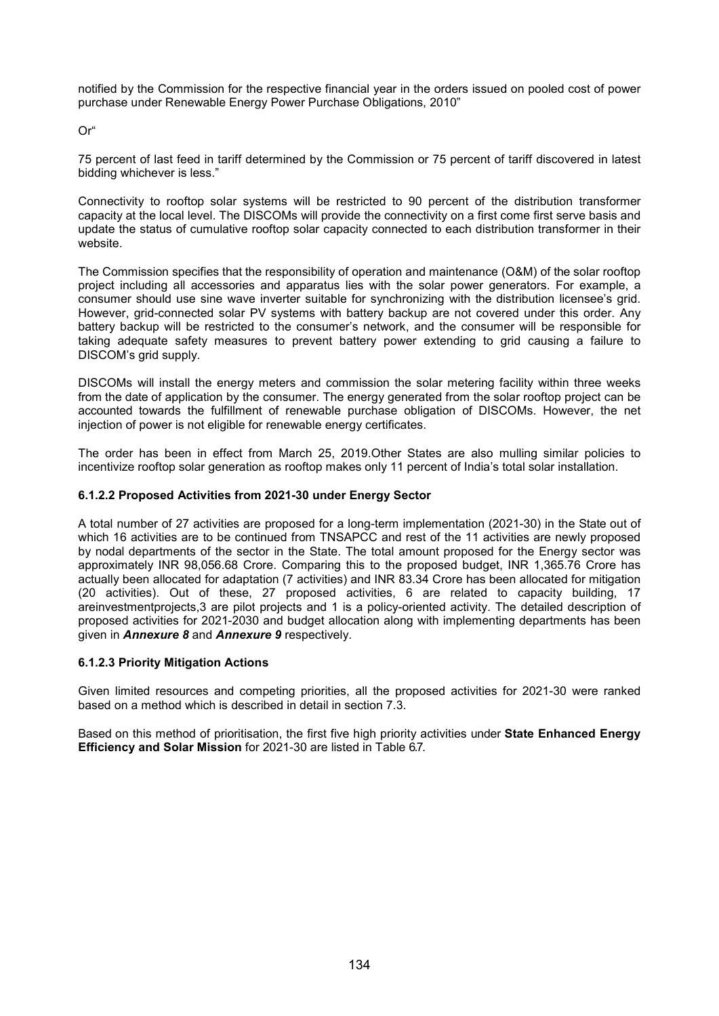notified by the Commission for the respective financial year in the orders issued on pooled cost of power purchase under Renewable Energy Power Purchase Obligations, 2010"

Or"

75 percent of last feed in tariff determined by the Commission or 75 percent of tariff discovered in latest bidding whichever is less."

Connectivity to rooftop solar systems will be restricted to 90 percent of the distribution transformer capacity at the local level. The DISCOMs will provide the connectivity on a first come first serve basis and update the status of cumulative rooftop solar capacity connected to each distribution transformer in their website.

The Commission specifies that the responsibility of operation and maintenance (O&M) of the solar rooftop project including all accessories and apparatus lies with the solar power generators. For example, a consumer should use sine wave inverter suitable for synchronizing with the distribution licensee's grid. However, grid-connected solar PV systems with battery backup are not covered under this order. Any battery backup will be restricted to the consumer's network, and the consumer will be responsible for taking adequate safety measures to prevent battery power extending to grid causing a failure to DISCOM's grid supply.

DISCOMs will install the energy meters and commission the solar metering facility within three weeks from the date of application by the consumer. The energy generated from the solar rooftop project can be accounted towards the fulfillment of renewable purchase obligation of DISCOMs. However, the net injection of power is not eligible for renewable energy certificates.

The order has been in effect from March 25, 2019.Other States are also mulling similar policies to incentivize rooftop solar generation as rooftop makes only 11 percent of India's total solar installation.

#### **6.1.2.2 Proposed Activities from 2021-30 under Energy Sector**

A total number of 27 activities are proposed for a long-term implementation (2021-30) in the State out of which 16 activities are to be continued from TNSAPCC and rest of the 11 activities are newly proposed by nodal departments of the sector in the State. The total amount proposed for the Energy sector was approximately INR 98,056.68 Crore. Comparing this to the proposed budget, INR 1,365.76 Crore has actually been allocated for adaptation (7 activities) and INR 83.34 Crore has been allocated for mitigation (20 activities). Out of these, 27 proposed activities, 6 are related to capacity building, 17 areinvestmentprojects,3 are pilot projects and 1 is a policy-oriented activity. The detailed description of proposed activities for 2021-2030 and budget allocation along with implementing departments has been given in *Annexure 8* and *Annexure 9* respectively.

#### **6.1.2.3 Priority Mitigation Actions**

Given limited resources and competing priorities, all the proposed activities for 2021-30 were ranked based on a method which is described in detail in section 7.3.

Based on this method of prioritisation, the first five high priority activities under **State Enhanced Energy Efficiency and Solar Mission** for 2021-30 are listed in Table 6.7.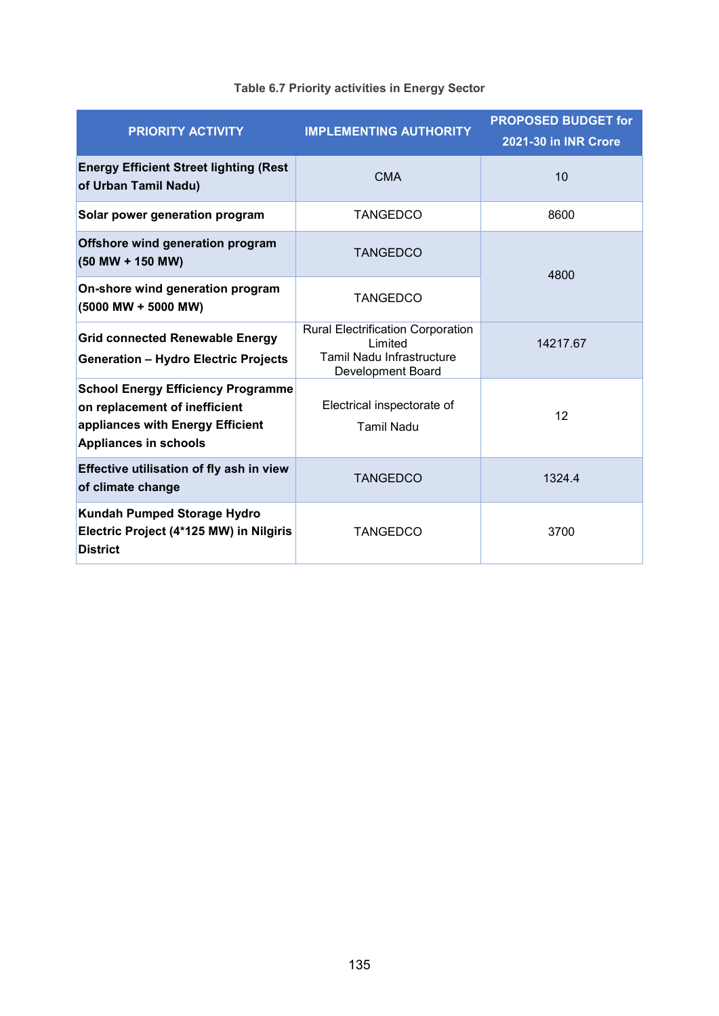| <b>PRIORITY ACTIVITY</b>                                                                                                                       | <b>IMPLEMENTING AUTHORITY</b>                                                                                       | <b>PROPOSED BUDGET for</b><br><b>2021-30 in INR Crore</b> |  |
|------------------------------------------------------------------------------------------------------------------------------------------------|---------------------------------------------------------------------------------------------------------------------|-----------------------------------------------------------|--|
| <b>Energy Efficient Street lighting (Rest</b><br>of Urban Tamil Nadu)                                                                          | <b>CMA</b>                                                                                                          | 10                                                        |  |
| Solar power generation program                                                                                                                 | <b>TANGEDCO</b>                                                                                                     | 8600                                                      |  |
| Offshore wind generation program<br>(50 MW + 150 MW)                                                                                           | <b>TANGEDCO</b>                                                                                                     | 4800                                                      |  |
| On-shore wind generation program<br>(5000 MW + 5000 MW)                                                                                        | <b>TANGEDCO</b>                                                                                                     |                                                           |  |
| <b>Grid connected Renewable Energy</b><br><b>Generation - Hydro Electric Projects</b>                                                          | <b>Rural Electrification Corporation</b><br>Limited<br><b>Tamil Nadu Infrastructure</b><br><b>Development Board</b> | 14217.67                                                  |  |
| <b>School Energy Efficiency Programme</b><br>on replacement of inefficient<br>appliances with Energy Efficient<br><b>Appliances in schools</b> | Electrical inspectorate of<br><b>Tamil Nadu</b>                                                                     | 12                                                        |  |
| Effective utilisation of fly ash in view<br>of climate change                                                                                  | <b>TANGEDCO</b>                                                                                                     | 13244                                                     |  |
| Kundah Pumped Storage Hydro<br>Electric Project (4*125 MW) in Nilgiris<br><b>District</b>                                                      | <b>TANGEDCO</b>                                                                                                     | 3700                                                      |  |

# **Table 6.7 Priority activities in Energy Sector**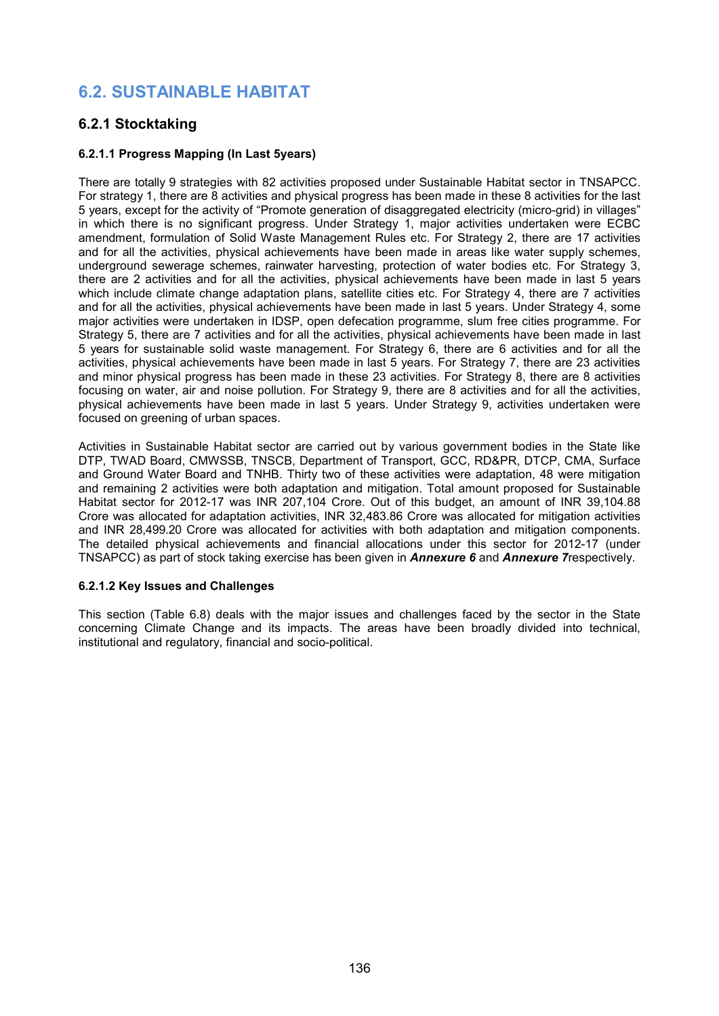# **6.2. SUSTAINABLE HABITAT**

## **6.2.1 Stocktaking**

### **6.2.1.1 Progress Mapping (In Last 5years)**

There are totally 9 strategies with 82 activities proposed under Sustainable Habitat sector in TNSAPCC. For strategy 1, there are 8 activities and physical progress has been made in these 8 activities for the last 5 years, except for the activity of "Promote generation of disaggregated electricity (micro-grid) in villages" in which there is no significant progress. Under Strategy 1, major activities undertaken were ECBC amendment, formulation of Solid Waste Management Rules etc. For Strategy 2, there are 17 activities and for all the activities, physical achievements have been made in areas like water supply schemes, underground sewerage schemes, rainwater harvesting, protection of water bodies etc. For Strategy 3, there are 2 activities and for all the activities, physical achievements have been made in last 5 years which include climate change adaptation plans, satellite cities etc. For Strategy 4, there are 7 activities and for all the activities, physical achievements have been made in last 5 years. Under Strategy 4, some major activities were undertaken in IDSP, open defecation programme, slum free cities programme. For Strategy 5, there are 7 activities and for all the activities, physical achievements have been made in last 5 years for sustainable solid waste management. For Strategy 6, there are 6 activities and for all the activities, physical achievements have been made in last 5 years. For Strategy 7, there are 23 activities and minor physical progress has been made in these 23 activities. For Strategy 8, there are 8 activities focusing on water, air and noise pollution. For Strategy 9, there are 8 activities and for all the activities, physical achievements have been made in last 5 years. Under Strategy 9, activities undertaken were focused on greening of urban spaces.

Activities in Sustainable Habitat sector are carried out by various government bodies in the State like DTP, TWAD Board, CMWSSB, TNSCB, Department of Transport, GCC, RD&PR, DTCP, CMA, Surface and Ground Water Board and TNHB. Thirty two of these activities were adaptation, 48 were mitigation and remaining 2 activities were both adaptation and mitigation. Total amount proposed for Sustainable Habitat sector for 2012-17 was INR 207,104 Crore. Out of this budget, an amount of INR 39,104.88 Crore was allocated for adaptation activities, INR 32,483.86 Crore was allocated for mitigation activities and INR 28,499.20 Crore was allocated for activities with both adaptation and mitigation components. The detailed physical achievements and financial allocations under this sector for 2012-17 (under TNSAPCC) as part of stock taking exercise has been given in *Annexure 6* and *Annexure 7*respectively.

#### **6.2.1.2 Key Issues and Challenges**

This section (Table 6.8) deals with the major issues and challenges faced by the sector in the State concerning Climate Change and its impacts. The areas have been broadly divided into technical, institutional and regulatory, financial and socio-political.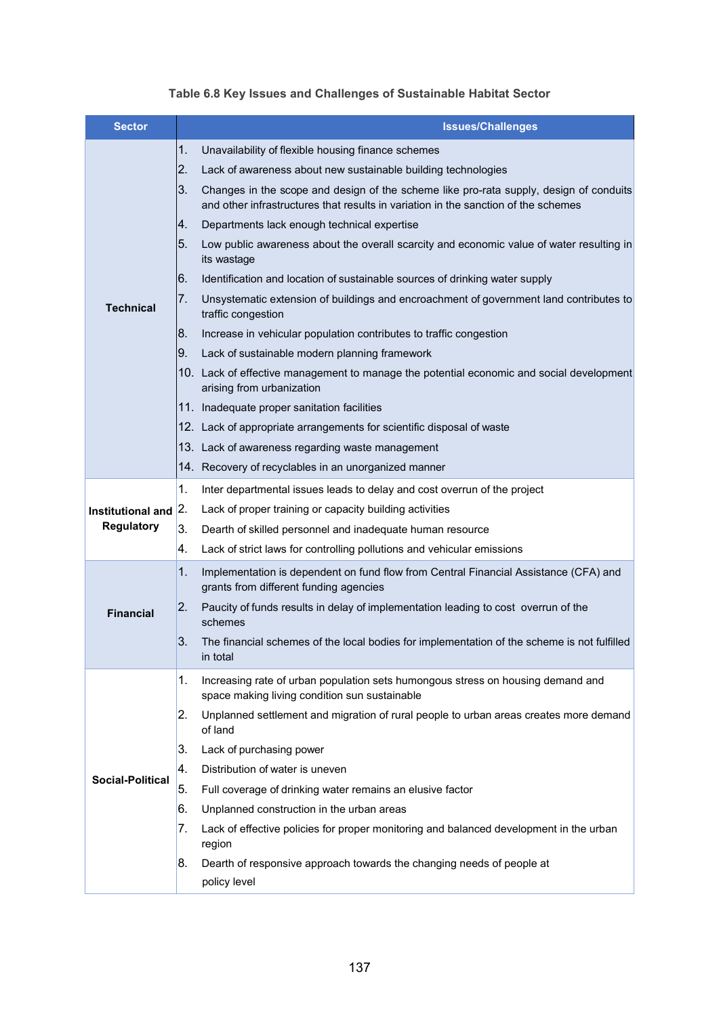|  | Table 6.8 Key Issues and Challenges of Sustainable Habitat Sector |  |  |
|--|-------------------------------------------------------------------|--|--|
|--|-------------------------------------------------------------------|--|--|

| <b>Sector</b>           |    | <b>Issues/Challenges</b>                                                                                                                                                     |
|-------------------------|----|------------------------------------------------------------------------------------------------------------------------------------------------------------------------------|
|                         | 1. | Unavailability of flexible housing finance schemes                                                                                                                           |
|                         | 2. | Lack of awareness about new sustainable building technologies                                                                                                                |
|                         | 3. | Changes in the scope and design of the scheme like pro-rata supply, design of conduits<br>and other infrastructures that results in variation in the sanction of the schemes |
|                         | 4. | Departments lack enough technical expertise                                                                                                                                  |
|                         | 5. | Low public awareness about the overall scarcity and economic value of water resulting in<br>its wastage                                                                      |
|                         | 6. | Identification and location of sustainable sources of drinking water supply                                                                                                  |
| <b>Technical</b>        | 7. | Unsystematic extension of buildings and encroachment of government land contributes to<br>traffic congestion                                                                 |
|                         | 8. | Increase in vehicular population contributes to traffic congestion                                                                                                           |
|                         | 9. | Lack of sustainable modern planning framework                                                                                                                                |
|                         |    | 10. Lack of effective management to manage the potential economic and social development<br>arising from urbanization                                                        |
|                         |    | 11. Inadequate proper sanitation facilities                                                                                                                                  |
|                         |    | 12. Lack of appropriate arrangements for scientific disposal of waste                                                                                                        |
|                         |    | 13. Lack of awareness regarding waste management                                                                                                                             |
|                         |    | 14. Recovery of recyclables in an unorganized manner                                                                                                                         |
|                         | 1. | Inter departmental issues leads to delay and cost overrun of the project                                                                                                     |
| Institutional and       | 2. | Lack of proper training or capacity building activities                                                                                                                      |
| <b>Regulatory</b>       | 3. | Dearth of skilled personnel and inadequate human resource                                                                                                                    |
|                         | 4. | Lack of strict laws for controlling pollutions and vehicular emissions                                                                                                       |
|                         | 1. | Implementation is dependent on fund flow from Central Financial Assistance (CFA) and<br>grants from different funding agencies                                               |
| <b>Financial</b>        | 2. | Paucity of funds results in delay of implementation leading to cost overrun of the<br>schemes                                                                                |
|                         | 3. | The financial schemes of the local bodies for implementation of the scheme is not fulfilled<br>in total                                                                      |
|                         | 1. | Increasing rate of urban population sets humongous stress on housing demand and<br>space making living condition sun sustainable                                             |
|                         | 2. | Unplanned settlement and migration of rural people to urban areas creates more demand<br>of land                                                                             |
|                         | 3. | Lack of purchasing power                                                                                                                                                     |
| <b>Social-Political</b> | 4. | Distribution of water is uneven                                                                                                                                              |
|                         | 5. | Full coverage of drinking water remains an elusive factor                                                                                                                    |
|                         | 6. | Unplanned construction in the urban areas                                                                                                                                    |
|                         | 7. | Lack of effective policies for proper monitoring and balanced development in the urban<br>region                                                                             |
|                         | 8. | Dearth of responsive approach towards the changing needs of people at<br>policy level                                                                                        |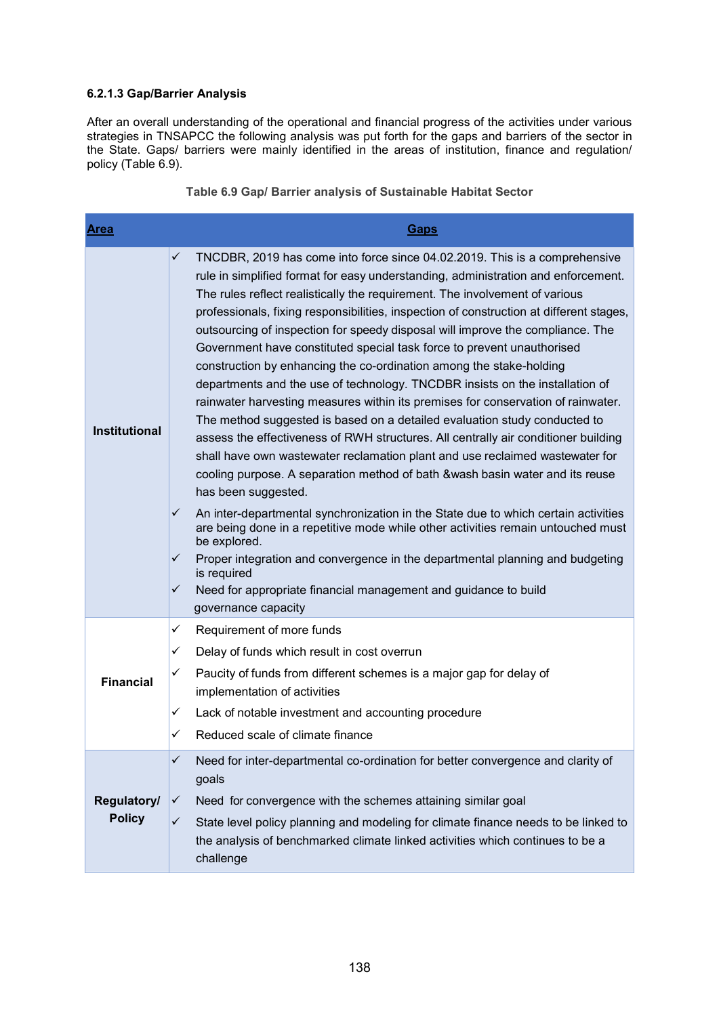#### **6.2.1.3 Gap/Barrier Analysis**

After an overall understanding of the operational and financial progress of the activities under various strategies in TNSAPCC the following analysis was put forth for the gaps and barriers of the sector in the State. Gaps/ barriers were mainly identified in the areas of institution, finance and regulation/ policy (Table 6.9).

| <b>Area</b>                  | Gaps                                                                                                                                                                                                                                                                                                                                                                                                                                                                                                                                                                                                                                                                                                                                                                                                                                                                                                                                                                                                                                                                                                                                                                                                                                                                                                                                                                                                                                                                                                                          |
|------------------------------|-------------------------------------------------------------------------------------------------------------------------------------------------------------------------------------------------------------------------------------------------------------------------------------------------------------------------------------------------------------------------------------------------------------------------------------------------------------------------------------------------------------------------------------------------------------------------------------------------------------------------------------------------------------------------------------------------------------------------------------------------------------------------------------------------------------------------------------------------------------------------------------------------------------------------------------------------------------------------------------------------------------------------------------------------------------------------------------------------------------------------------------------------------------------------------------------------------------------------------------------------------------------------------------------------------------------------------------------------------------------------------------------------------------------------------------------------------------------------------------------------------------------------------|
| <b>Institutional</b>         | ✓<br>TNCDBR, 2019 has come into force since 04.02.2019. This is a comprehensive<br>rule in simplified format for easy understanding, administration and enforcement.<br>The rules reflect realistically the requirement. The involvement of various<br>professionals, fixing responsibilities, inspection of construction at different stages,<br>outsourcing of inspection for speedy disposal will improve the compliance. The<br>Government have constituted special task force to prevent unauthorised<br>construction by enhancing the co-ordination among the stake-holding<br>departments and the use of technology. TNCDBR insists on the installation of<br>rainwater harvesting measures within its premises for conservation of rainwater.<br>The method suggested is based on a detailed evaluation study conducted to<br>assess the effectiveness of RWH structures. All centrally air conditioner building<br>shall have own wastewater reclamation plant and use reclaimed wastewater for<br>cooling purpose. A separation method of bath &wash basin water and its reuse<br>has been suggested.<br>$\checkmark$<br>An inter-departmental synchronization in the State due to which certain activities<br>are being done in a repetitive mode while other activities remain untouched must<br>be explored.<br>✓<br>Proper integration and convergence in the departmental planning and budgeting<br>is required<br>✓<br>Need for appropriate financial management and guidance to build<br>governance capacity |
|                              | ✓<br>Requirement of more funds                                                                                                                                                                                                                                                                                                                                                                                                                                                                                                                                                                                                                                                                                                                                                                                                                                                                                                                                                                                                                                                                                                                                                                                                                                                                                                                                                                                                                                                                                                |
|                              | ✓<br>Delay of funds which result in cost overrun                                                                                                                                                                                                                                                                                                                                                                                                                                                                                                                                                                                                                                                                                                                                                                                                                                                                                                                                                                                                                                                                                                                                                                                                                                                                                                                                                                                                                                                                              |
| <b>Financial</b>             | ✓<br>Paucity of funds from different schemes is a major gap for delay of<br>implementation of activities                                                                                                                                                                                                                                                                                                                                                                                                                                                                                                                                                                                                                                                                                                                                                                                                                                                                                                                                                                                                                                                                                                                                                                                                                                                                                                                                                                                                                      |
|                              | Lack of notable investment and accounting procedure<br>✓                                                                                                                                                                                                                                                                                                                                                                                                                                                                                                                                                                                                                                                                                                                                                                                                                                                                                                                                                                                                                                                                                                                                                                                                                                                                                                                                                                                                                                                                      |
|                              | Reduced scale of climate finance<br>✓                                                                                                                                                                                                                                                                                                                                                                                                                                                                                                                                                                                                                                                                                                                                                                                                                                                                                                                                                                                                                                                                                                                                                                                                                                                                                                                                                                                                                                                                                         |
| Regulatory/<br><b>Policy</b> | Need for inter-departmental co-ordination for better convergence and clarity of<br>✓<br>goals<br>Need for convergence with the schemes attaining similar goal<br>✓                                                                                                                                                                                                                                                                                                                                                                                                                                                                                                                                                                                                                                                                                                                                                                                                                                                                                                                                                                                                                                                                                                                                                                                                                                                                                                                                                            |
|                              | $\checkmark$<br>State level policy planning and modeling for climate finance needs to be linked to<br>the analysis of benchmarked climate linked activities which continues to be a<br>challenge                                                                                                                                                                                                                                                                                                                                                                                                                                                                                                                                                                                                                                                                                                                                                                                                                                                                                                                                                                                                                                                                                                                                                                                                                                                                                                                              |

**Table 6.9 Gap/ Barrier analysis of Sustainable Habitat Sector**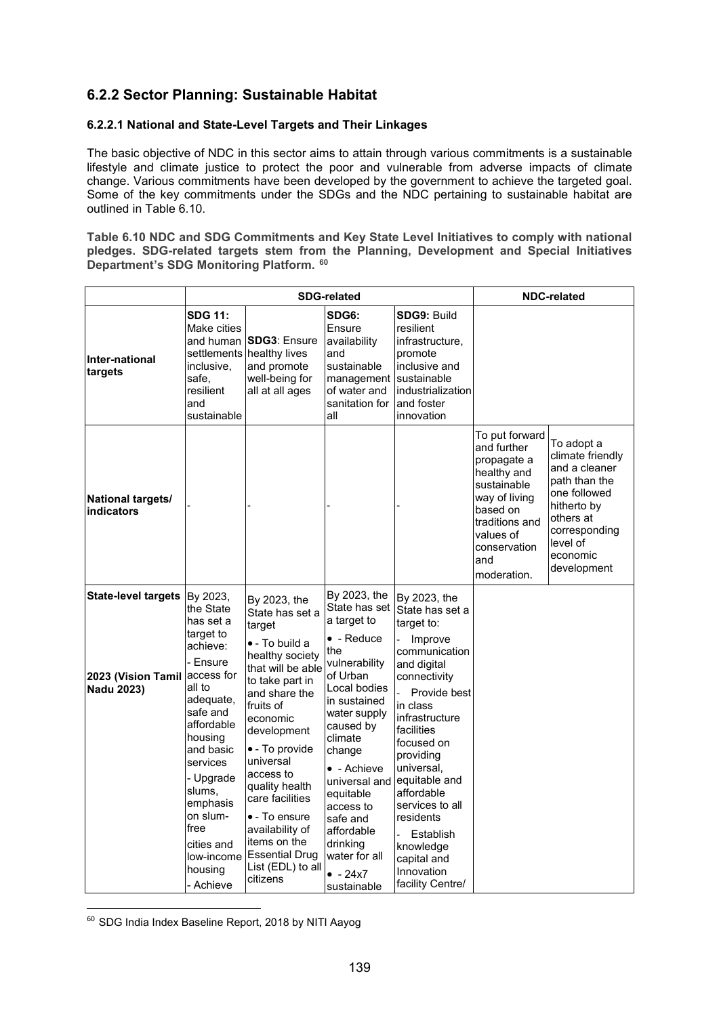## **6.2.2 Sector Planning: Sustainable Habitat**

#### **6.2.2.1 National and State-Level Targets and Their Linkages**

The basic objective of NDC in this sector aims to attain through various commitments is a sustainable lifestyle and climate justice to protect the poor and vulnerable from adverse impacts of climate change. Various commitments have been developed by the government to achieve the targeted goal. Some of the key commitments under the SDGs and the NDC pertaining to sustainable habitat are outlined in Table 6.10.

**Table 6.10 NDC and SDG Commitments and Key State Level Initiatives to comply with national pledges. SDG-related targets stem from the Planning, Development and Special Initiatives Department's SDG Monitoring Platform. 60** 

|                                                                       | <b>SDG-related</b>                                                                                                                                                                                                                                                                    |                                                                                                                                                                                                                                                                                                                                                                                |                                                                                                                                                                                                                                                                                                                              |                                                                                                                                                                                                                                                                                                                                                         |                                                                                                                                                                              | <b>NDC-related</b>                                                                                                                                                   |
|-----------------------------------------------------------------------|---------------------------------------------------------------------------------------------------------------------------------------------------------------------------------------------------------------------------------------------------------------------------------------|--------------------------------------------------------------------------------------------------------------------------------------------------------------------------------------------------------------------------------------------------------------------------------------------------------------------------------------------------------------------------------|------------------------------------------------------------------------------------------------------------------------------------------------------------------------------------------------------------------------------------------------------------------------------------------------------------------------------|---------------------------------------------------------------------------------------------------------------------------------------------------------------------------------------------------------------------------------------------------------------------------------------------------------------------------------------------------------|------------------------------------------------------------------------------------------------------------------------------------------------------------------------------|----------------------------------------------------------------------------------------------------------------------------------------------------------------------|
| Inter-national<br>targets                                             | <b>SDG 11:</b><br>Make cities<br>and human<br>inclusive,<br>safe,<br>resilient<br>and<br>sustainable                                                                                                                                                                                  | <b>SDG3: Ensure</b><br>settlements healthy lives<br>and promote<br>well-being for<br>all at all ages                                                                                                                                                                                                                                                                           | SDG6:<br>Ensure<br>availability<br>and<br>sustainable<br>management<br>of water and<br>sanitation for<br>all                                                                                                                                                                                                                 | <b>SDG9: Build</b><br>resilient<br>infrastructure,<br>promote<br>inclusive and<br>sustainable<br>industrialization<br>and foster<br>innovation                                                                                                                                                                                                          |                                                                                                                                                                              |                                                                                                                                                                      |
| National targets/<br>indicators                                       |                                                                                                                                                                                                                                                                                       |                                                                                                                                                                                                                                                                                                                                                                                |                                                                                                                                                                                                                                                                                                                              |                                                                                                                                                                                                                                                                                                                                                         | To put forward<br>and further<br>propagate a<br>healthy and<br>sustainable<br>way of living<br>based on<br>traditions and<br>values of<br>conservation<br>and<br>moderation. | To adopt a<br>climate friendly<br>and a cleaner<br>path than the<br>one followed<br>hitherto by<br>others at<br>corresponding<br>level of<br>economic<br>development |
| <b>State-level targets</b><br>2023 (Vision Tamil<br><b>Nadu 2023)</b> | By 2023,<br>the State<br>has set a<br>target to<br>achieve:<br>- Ensure<br>access for<br>all to<br>adequate,<br>safe and<br>affordable<br>housing<br>and basic<br>services<br>- Upgrade<br>slums,<br>emphasis<br>on slum-<br>free<br>cities and<br>low-income<br>housing<br>- Achieve | By 2023, the<br>State has set a<br>target<br>• - To build a<br>healthy society<br>that will be able<br>to take part in<br>and share the<br>fruits of<br>economic<br>development<br>• - To provide<br>universal<br>access to<br>quality health<br>care facilities<br>• - To ensure<br>availability of<br>items on the<br><b>Essential Drug</b><br>List (EDL) to all<br>citizens | By 2023, the<br>State has set<br>a target to<br>$\bullet$ - Reduce<br>the<br>vulnerability<br>of Urban<br>Local bodies<br>in sustained<br>water supply<br>caused by<br>climate<br>change<br>$\bullet$ - Achieve<br>universal and<br>equitable<br>access to<br>safe and<br>affordable<br>drinking<br>water for all<br>$-24x7$ | By 2023, the<br>State has set a<br>target to:<br>Improve<br>communication<br>and digital<br>connectivity<br>Provide best<br>in class<br>infrastructure<br>facilities<br>focused on<br>providing<br>universal,<br>equitable and<br>affordable<br>services to all<br>residents<br>Establish<br>knowledge<br>capital and<br>Innovation<br>facility Centre/ |                                                                                                                                                                              |                                                                                                                                                                      |

<sup>60</sup> SDG India Index Baseline Report, 2018 by NITI Aayog

-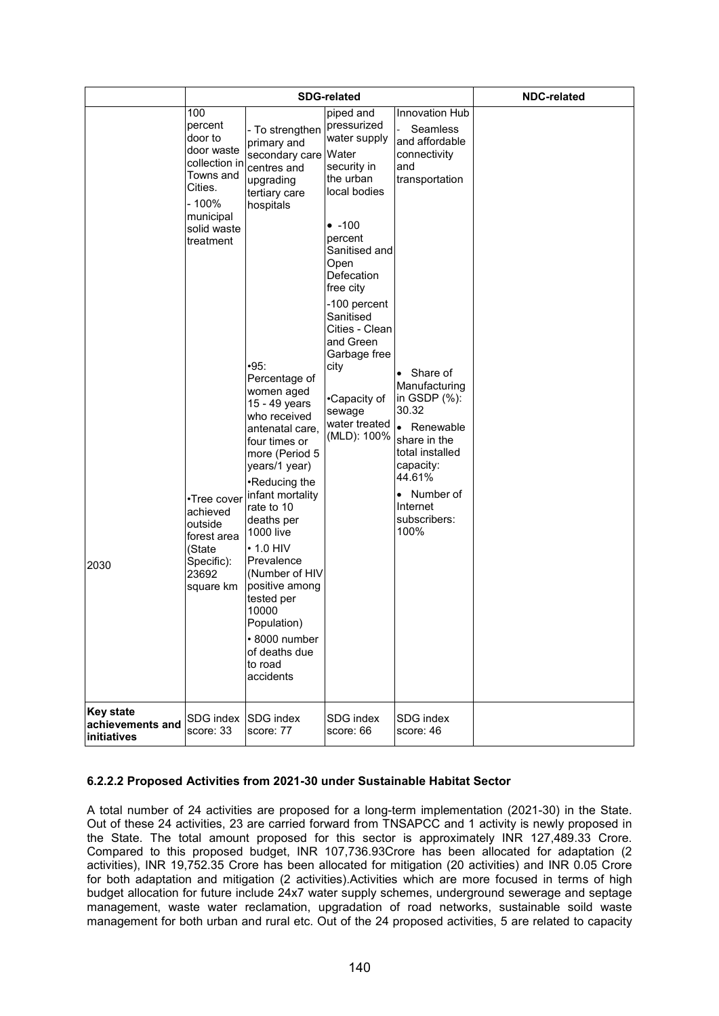|                                                     |                                                                                                                                                                                                                                         | <b>SDG-related</b>                                                                                                                                                                                                                                                                                                                                                                                                                                                                                                    | <b>NDC-related</b>                                                                                                                                                                                                                                                                                                     |                                                                                                                                                                                                                                                                                               |  |
|-----------------------------------------------------|-----------------------------------------------------------------------------------------------------------------------------------------------------------------------------------------------------------------------------------------|-----------------------------------------------------------------------------------------------------------------------------------------------------------------------------------------------------------------------------------------------------------------------------------------------------------------------------------------------------------------------------------------------------------------------------------------------------------------------------------------------------------------------|------------------------------------------------------------------------------------------------------------------------------------------------------------------------------------------------------------------------------------------------------------------------------------------------------------------------|-----------------------------------------------------------------------------------------------------------------------------------------------------------------------------------------------------------------------------------------------------------------------------------------------|--|
| 2030                                                | 100<br>percent<br>door to<br>door waste<br>collection in<br>Towns and<br>Cities.<br>$-100%$<br>municipal<br>solid waste<br>treatment<br>•Tree cover<br>achieved<br>outside<br>forest area<br>(State<br>Specific):<br>23692<br>square km | - To strengthen<br>primary and<br>secondary care<br>centres and<br>upgrading<br>tertiary care<br>hospitals<br>$-95:$<br>Percentage of<br>women aged<br>15 - 49 years<br>who received<br>antenatal care,<br>four times or<br>more (Period 5<br>years/1 year)<br>•Reducing the<br>infant mortality<br>rate to 10<br>deaths per<br><b>1000 live</b><br>$\cdot$ 1.0 HIV<br>Prevalence<br>(Number of HIV<br>positive among<br>tested per<br>10000<br>Population)<br>• 8000 number<br>of deaths due<br>to road<br>accidents | piped and<br>pressurized<br>water supply<br>Water<br>security in<br>the urban<br>local bodies<br>$• -100$<br>percent<br>Sanitised and<br>Open<br>Defecation<br>free city<br>-100 percent<br>Sanitised<br>Cities - Clean<br>and Green<br>Garbage free<br>city<br>•Capacity of<br>sewage<br>water treated<br>(MLD): 100% | Innovation Hub<br><b>Seamless</b><br>and affordable<br>connectivity<br>and<br>transportation<br>• Share of<br>Manufacturing<br>in GSDP $%$ ):<br>30.32<br>• Renewable<br>share in the<br>total installed<br>capacity:<br>44.61%<br>Number of<br>$\bullet$<br>Internet<br>subscribers:<br>100% |  |
| <b>Key state</b><br>achievements and<br>initiatives | SDG index<br>score: 33                                                                                                                                                                                                                  | <b>SDG</b> index<br>score: 77                                                                                                                                                                                                                                                                                                                                                                                                                                                                                         | SDG index<br>score: 66                                                                                                                                                                                                                                                                                                 | SDG index<br>score: 46                                                                                                                                                                                                                                                                        |  |

#### **6.2.2.2 Proposed Activities from 2021-30 under Sustainable Habitat Sector**

A total number of 24 activities are proposed for a long-term implementation (2021-30) in the State. Out of these 24 activities, 23 are carried forward from TNSAPCC and 1 activity is newly proposed in the State. The total amount proposed for this sector is approximately INR 127,489.33 Crore. Compared to this proposed budget, INR 107,736.93Crore has been allocated for adaptation (2 activities), INR 19,752.35 Crore has been allocated for mitigation (20 activities) and INR 0.05 Crore for both adaptation and mitigation (2 activities).Activities which are more focused in terms of high budget allocation for future include 24x7 water supply schemes, underground sewerage and septage management, waste water reclamation, upgradation of road networks, sustainable soild waste management for both urban and rural etc. Out of the 24 proposed activities, 5 are related to capacity